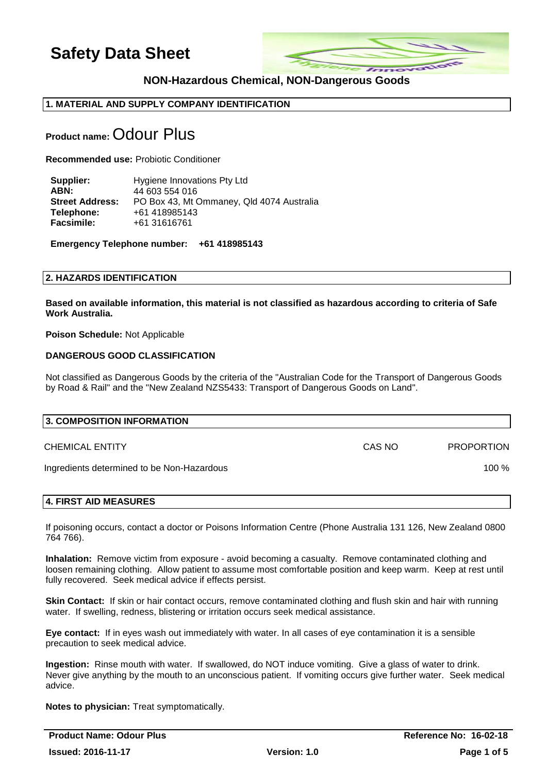

## **NON-Hazardous Chemical, NON-Dangerous Goods**

## **1. MATERIAL AND SUPPLY COMPANY IDENTIFICATION**

# **Product name:** Odour Plus

**Recommended use:** Probiotic Conditioner

**Supplier:** Hygiene Innovations Pty Ltd **ABN:** 44 603 554 016 **Street Address:** PO Box 43, Mt Ommaney, Qld 4074 Australia **Telephone:** +61 418985143 **Facsimile:** +61 31616761

**Emergency Telephone number: +61 418985143** 

#### **2. HAZARDS IDENTIFICATION**

**Based on available information, this material is not classified as hazardous according to criteria of Safe Work Australia.**

**Poison Schedule:** Not Applicable

## **DANGEROUS GOOD CLASSIFICATION**

Not classified as Dangerous Goods by the criteria of the "Australian Code for the Transport of Dangerous Goods by Road & Rail" and the "New Zealand NZS5433: Transport of Dangerous Goods on Land".

| 3. COMPOSITION INFORMATION                 |        |                   |
|--------------------------------------------|--------|-------------------|
| <b>CHEMICAL ENTITY</b>                     | CAS NO | <b>PROPORTION</b> |
| Ingredients determined to be Non-Hazardous |        | 100 $%$           |
|                                            |        |                   |

#### **4. FIRST AID MEASURES**

If poisoning occurs, contact a doctor or Poisons Information Centre (Phone Australia 131 126, New Zealand 0800 764 766).

**Inhalation:** Remove victim from exposure - avoid becoming a casualty. Remove contaminated clothing and loosen remaining clothing. Allow patient to assume most comfortable position and keep warm. Keep at rest until fully recovered. Seek medical advice if effects persist.

**Skin Contact:** If skin or hair contact occurs, remove contaminated clothing and flush skin and hair with running water. If swelling, redness, blistering or irritation occurs seek medical assistance.

**Eye contact:** If in eyes wash out immediately with water. In all cases of eye contamination it is a sensible precaution to seek medical advice.

**Ingestion:** Rinse mouth with water. If swallowed, do NOT induce vomiting. Give a glass of water to drink. Never give anything by the mouth to an unconscious patient. If vomiting occurs give further water. Seek medical advice.

**Notes to physician:** Treat symptomatically.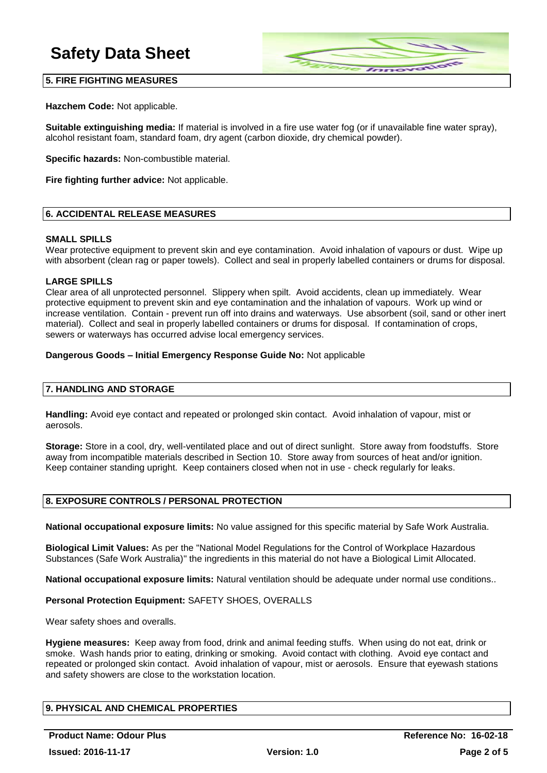

## **5. FIRE FIGHTING MEASURES**

**Hazchem Code:** Not applicable.

**Suitable extinguishing media:** If material is involved in a fire use water fog (or if unavailable fine water spray), alcohol resistant foam, standard foam, dry agent (carbon dioxide, dry chemical powder).

**Specific hazards:** Non-combustible material.

**Fire fighting further advice:** Not applicable.

## **6. ACCIDENTAL RELEASE MEASURES**

#### **SMALL SPILLS**

Wear protective equipment to prevent skin and eye contamination. Avoid inhalation of vapours or dust. Wipe up with absorbent (clean rag or paper towels). Collect and seal in properly labelled containers or drums for disposal.

## **LARGE SPILLS**

Clear area of all unprotected personnel. Slippery when spilt. Avoid accidents, clean up immediately. Wear protective equipment to prevent skin and eye contamination and the inhalation of vapours. Work up wind or increase ventilation. Contain - prevent run off into drains and waterways. Use absorbent (soil, sand or other inert material). Collect and seal in properly labelled containers or drums for disposal. If contamination of crops, sewers or waterways has occurred advise local emergency services.

#### **Dangerous Goods – Initial Emergency Response Guide No:** Not applicable

## **7. HANDLING AND STORAGE**

**Handling:** Avoid eye contact and repeated or prolonged skin contact. Avoid inhalation of vapour, mist or aerosols.

**Storage:** Store in a cool, dry, well-ventilated place and out of direct sunlight. Store away from foodstuffs. Store away from incompatible materials described in Section 10. Store away from sources of heat and/or ignition. Keep container standing upright. Keep containers closed when not in use - check regularly for leaks.

## **8. EXPOSURE CONTROLS / PERSONAL PROTECTION**

**National occupational exposure limits:** No value assigned for this specific material by Safe Work Australia.

**Biological Limit Values:** As per the "National Model Regulations for the Control of Workplace Hazardous Substances (Safe Work Australia)" the ingredients in this material do not have a Biological Limit Allocated.

**National occupational exposure limits:** Natural ventilation should be adequate under normal use conditions..

#### **Personal Protection Equipment:** SAFETY SHOES, OVERALLS

Wear safety shoes and overalls.

**Hygiene measures:** Keep away from food, drink and animal feeding stuffs. When using do not eat, drink or smoke. Wash hands prior to eating, drinking or smoking. Avoid contact with clothing. Avoid eye contact and repeated or prolonged skin contact. Avoid inhalation of vapour, mist or aerosols. Ensure that eyewash stations and safety showers are close to the workstation location.

## **9. PHYSICAL AND CHEMICAL PROPERTIES**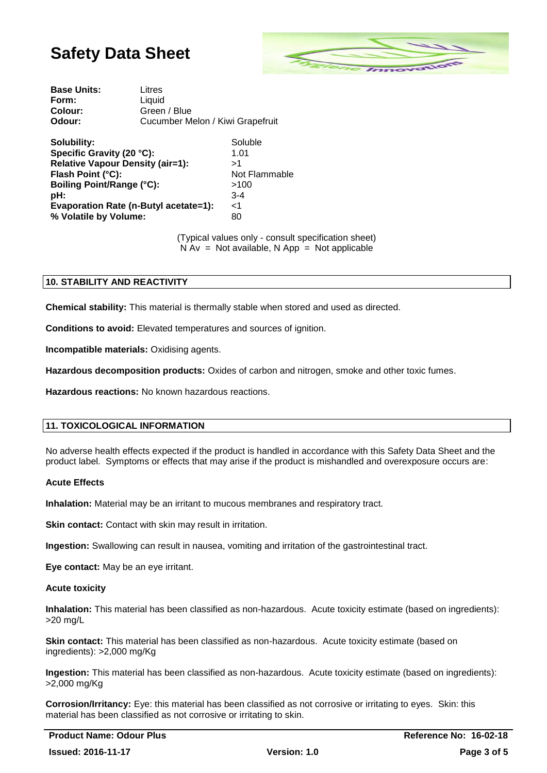

| Cucumber Melon / Kiwi Grapefruit |
|----------------------------------|
|                                  |

| Solubility:                             | Soluble       |
|-----------------------------------------|---------------|
| Specific Gravity (20 °C):               | 1.01          |
| <b>Relative Vapour Density (air=1):</b> | >1            |
| Flash Point (°C):                       | Not Flammable |
| <b>Boiling Point/Range (°C):</b>        | >100          |
| pH:                                     | $3 - 4$       |
| Evaporation Rate (n-Butyl acetate=1):   | $\leq$ 1      |
| % Volatile by Volume:                   | 80            |
|                                         |               |

(Typical values only - consult specification sheet)  $\overrightarrow{N}$  Av = Not available, N App = Not applicable

## **10. STABILITY AND REACTIVITY**

**Chemical stability:** This material is thermally stable when stored and used as directed.

**Conditions to avoid:** Elevated temperatures and sources of ignition.

**Incompatible materials:** Oxidising agents.

**Hazardous decomposition products:** Oxides of carbon and nitrogen, smoke and other toxic fumes.

**Hazardous reactions:** No known hazardous reactions.

#### **11. TOXICOLOGICAL INFORMATION**

No adverse health effects expected if the product is handled in accordance with this Safety Data Sheet and the product label. Symptoms or effects that may arise if the product is mishandled and overexposure occurs are:

#### **Acute Effects**

**Inhalation:** Material may be an irritant to mucous membranes and respiratory tract.

**Skin contact:** Contact with skin may result in irritation.

**Ingestion:** Swallowing can result in nausea, vomiting and irritation of the gastrointestinal tract.

**Eye contact:** May be an eye irritant.

#### **Acute toxicity**

**Inhalation:** This material has been classified as non-hazardous. Acute toxicity estimate (based on ingredients): >20 mg/L

**Skin contact:** This material has been classified as non-hazardous. Acute toxicity estimate (based on ingredients): >2,000 mg/Kg

**Ingestion:** This material has been classified as non-hazardous. Acute toxicity estimate (based on ingredients): >2,000 mg/Kg

**Corrosion/Irritancy:** Eye: this material has been classified as not corrosive or irritating to eyes. Skin: this material has been classified as not corrosive or irritating to skin.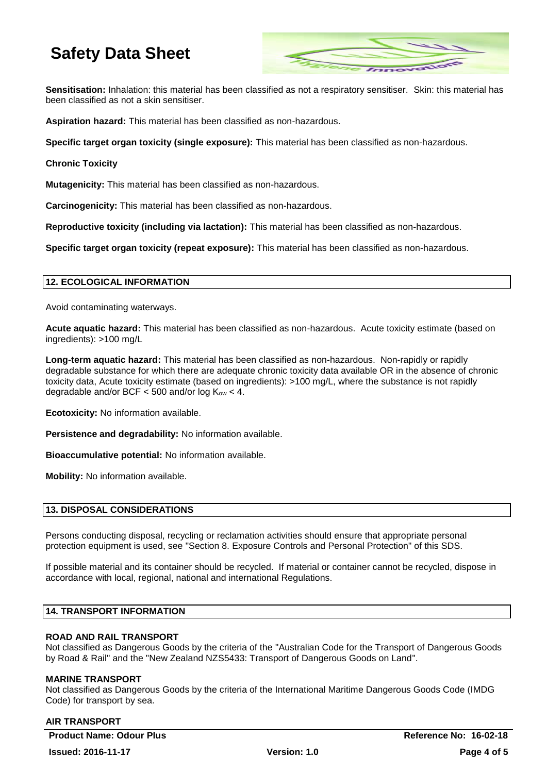

**Sensitisation:** Inhalation: this material has been classified as not a respiratory sensitiser. Skin: this material has been classified as not a skin sensitiser.

**Aspiration hazard:** This material has been classified as non-hazardous.

**Specific target organ toxicity (single exposure):** This material has been classified as non-hazardous.

## **Chronic Toxicity**

**Mutagenicity:** This material has been classified as non-hazardous.

**Carcinogenicity:** This material has been classified as non-hazardous.

**Reproductive toxicity (including via lactation):** This material has been classified as non-hazardous.

**Specific target organ toxicity (repeat exposure):** This material has been classified as non-hazardous.

## **12. ECOLOGICAL INFORMATION**

Avoid contaminating waterways.

**Acute aquatic hazard:** This material has been classified as non-hazardous. Acute toxicity estimate (based on ingredients): >100 mg/L

**Long-term aquatic hazard:** This material has been classified as non-hazardous. Non-rapidly or rapidly degradable substance for which there are adequate chronic toxicity data available OR in the absence of chronic toxicity data, Acute toxicity estimate (based on ingredients): >100 mg/L, where the substance is not rapidly degradable and/or BCF  $<$  500 and/or log  $K_{ow}$  < 4.

**Ecotoxicity:** No information available.

**Persistence and degradability:** No information available.

**Bioaccumulative potential:** No information available.

**Mobility:** No information available.

#### **13. DISPOSAL CONSIDERATIONS**

Persons conducting disposal, recycling or reclamation activities should ensure that appropriate personal protection equipment is used, see "Section 8. Exposure Controls and Personal Protection" of this SDS.

If possible material and its container should be recycled. If material or container cannot be recycled, dispose in accordance with local, regional, national and international Regulations.

## **14. TRANSPORT INFORMATION**

## **ROAD AND RAIL TRANSPORT**

Not classified as Dangerous Goods by the criteria of the "Australian Code for the Transport of Dangerous Goods by Road & Rail" and the "New Zealand NZS5433: Transport of Dangerous Goods on Land".

#### **MARINE TRANSPORT**

Not classified as Dangerous Goods by the criteria of the International Maritime Dangerous Goods Code (IMDG Code) for transport by sea.

#### **AIR TRANSPORT**

**Product Name: Odour Plus Reference No: 16-02-18**